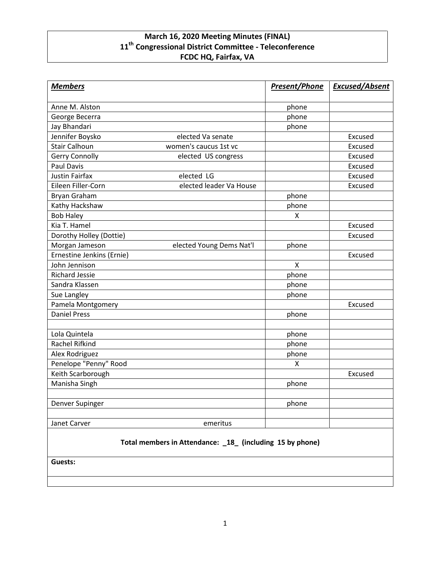## **March 16, 2020 Meeting Minutes (FINAL) 11th Congressional District Committee - Teleconference FCDC HQ, Fairfax, VA**

| <b>Members</b>                                            |                          | <b>Present/Phone</b> | <b>Excused/Absent</b> |
|-----------------------------------------------------------|--------------------------|----------------------|-----------------------|
| Anne M. Alston                                            |                          | phone                |                       |
| George Becerra                                            |                          | phone                |                       |
| Jay Bhandari                                              |                          | phone                |                       |
| Jennifer Boysko                                           | elected Va senate        |                      | Excused               |
| <b>Stair Calhoun</b>                                      | women's caucus 1st vc    |                      | Excused               |
| <b>Gerry Connolly</b>                                     | elected US congress      |                      | Excused               |
| <b>Paul Davis</b>                                         |                          |                      | Excused               |
| <b>Justin Fairfax</b>                                     | elected LG               |                      | Excused               |
| Eileen Filler-Corn                                        | elected leader Va House  |                      | Excused               |
| Bryan Graham                                              |                          | phone                |                       |
| Kathy Hackshaw                                            |                          | phone                |                       |
| <b>Bob Haley</b>                                          |                          | X                    |                       |
| Kia T. Hamel                                              |                          |                      | Excused               |
| Dorothy Holley (Dottie)                                   |                          |                      | Excused               |
| Morgan Jameson                                            | elected Young Dems Nat'l | phone                |                       |
| Ernestine Jenkins (Ernie)                                 |                          |                      | Excused               |
| John Jennison                                             |                          | X                    |                       |
| <b>Richard Jessie</b>                                     |                          | phone                |                       |
| Sandra Klassen                                            |                          | phone                |                       |
| Sue Langley                                               |                          | phone                |                       |
| Pamela Montgomery                                         |                          |                      | Excused               |
| <b>Daniel Press</b>                                       |                          | phone                |                       |
| Lola Quintela                                             |                          | phone                |                       |
| Rachel Rifkind                                            |                          | phone                |                       |
| Alex Rodriguez                                            |                          | phone                |                       |
| Penelope "Penny" Rood                                     |                          | X                    |                       |
| Keith Scarborough                                         |                          |                      | Excused               |
| Manisha Singh                                             |                          | phone                |                       |
| Denver Supinger                                           |                          | phone                |                       |
| Janet Carver                                              | emeritus                 |                      |                       |
| Total members in Attendance: _18_ (including 15 by phone) |                          |                      |                       |

**Guests:**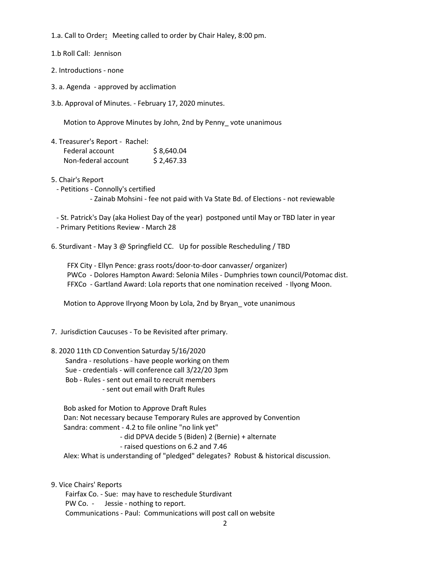1.a. Call to Order**:** Meeting called to order by Chair Haley, 8:00 pm.

1.b Roll Call: Jennison

2. Introductions - none

- 3. a. Agenda approved by acclimation
- 3.b. Approval of Minutes. February 17, 2020 minutes.

Motion to Approve Minutes by John, 2nd by Penny\_ vote unanimous

4. Treasurer's Report - Rachel: Federal account \$8,640.04 Non-federal account \$2,467.33

5. Chair's Report

- Petitions - Connolly's certified

- Zainab Mohsini - fee not paid with Va State Bd. of Elections - not reviewable

- St. Patrick's Day (aka Holiest Day of the year) postponed until May or TBD later in year

- Primary Petitions Review - March 28

6. Sturdivant - May 3 @ Springfield CC. Up for possible Rescheduling / TBD

FFX City - Ellyn Pence: grass roots/door-to-door canvasser/ organizer) PWCo - Dolores Hampton Award: Selonia Miles - Dumphries town council/Potomac dist. FFXCo - Gartland Award: Lola reports that one nomination received - Ilyong Moon.

Motion to Approve Ilryong Moon by Lola, 2nd by Bryan\_ vote unanimous

- 7. Jurisdiction Caucuses To be Revisited after primary.
- 8. 2020 11th CD Convention Saturday 5/16/2020 Sandra - resolutions - have people working on them Sue - credentials - will conference call 3/22/20 3pm Bob - Rules - sent out email to recruit members - sent out email with Draft Rules

Bob asked for Motion to Approve Draft Rules Dan: Not necessary because Temporary Rules are approved by Convention Sandra: comment - 4.2 to file online "no link yet" - did DPVA decide 5 (Biden) 2 (Bernie) + alternate - raised questions on 6.2 and 7.46

Alex: What is understanding of "pledged" delegates? Robust & historical discussion.

9. Vice Chairs' Reports

Fairfax Co. - Sue: may have to reschedule Sturdivant PW Co. - Jessie - nothing to report. Communications - Paul: Communications will post call on website